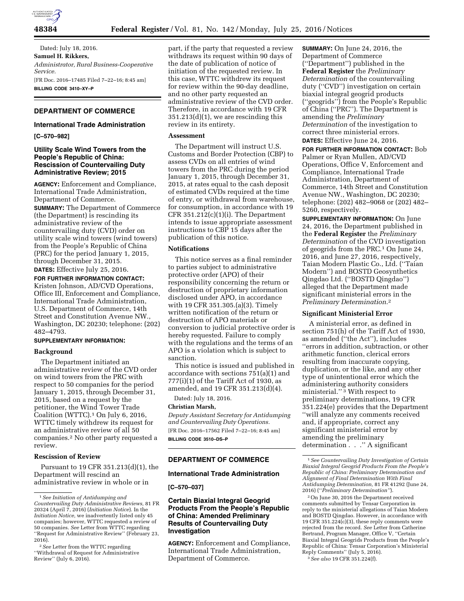

Dated: July 18, 2016. **Samuel H. Rikkers,**  *Administrator, Rural Business-Cooperative Service.*  [FR Doc. 2016–17485 Filed 7–22–16; 8:45 am] **BILLING CODE 3410–XY–P** 

# **DEPARTMENT OF COMMERCE**

## **International Trade Administration**

**[C–570–982]** 

## **Utility Scale Wind Towers from the People's Republic of China: Rescission of Countervailing Duty Administrative Review; 2015**

**AGENCY:** Enforcement and Compliance, International Trade Administration, Department of Commerce.

**SUMMARY:** The Department of Commerce (the Department) is rescinding its administrative review of the countervailing duty (CVD) order on utility scale wind towers (wind towers) from the People's Republic of China (PRC) for the period January 1, 2015, through December 31, 2015. **DATES:** Effective July 25, 2016.

**FOR FURTHER INFORMATION CONTACT:**  Kristen Johnson, AD/CVD Operations, Office III, Enforcement and Compliance, International Trade Administration, U.S. Department of Commerce, 14th Street and Constitution Avenue NW., Washington, DC 20230; telephone: (202) 482–4793.

## **SUPPLEMENTARY INFORMATION:**

#### **Background**

The Department initiated an administrative review of the CVD order on wind towers from the PRC with respect to 50 companies for the period January 1, 2015, through December 31, 2015, based on a request by the petitioner, the Wind Tower Trade Coalition (WTTC).1 On July 6, 2016, WTTC timely withdrew its request for an administrative review of all 50 companies.2 No other party requested a review.

### **Rescission of Review**

Pursuant to 19 CFR 351.213(d)(1), the Department will rescind an administrative review in whole or in

part, if the party that requested a review withdraws its request within 90 days of the date of publication of notice of initiation of the requested review. In this case, WTTC withdrew its request for review within the 90-day deadline, and no other party requested an administrative review of the CVD order. Therefore, in accordance with 19 CFR 351.213(d)(1), we are rescinding this review in its entirety.

## **Assessment**

The Department will instruct U.S. Customs and Border Protection (CBP) to assess CVDs on all entries of wind towers from the PRC during the period January 1, 2015, through December 31, 2015, at rates equal to the cash deposit of estimated CVDs required at the time of entry, or withdrawal from warehouse, for consumption, in accordance with 19 CFR 351.212(c)(1)(i). The Department intends to issue appropriate assessment instructions to CBP 15 days after the publication of this notice.

## **Notifications**

This notice serves as a final reminder to parties subject to administrative protective order (APO) of their responsibility concerning the return or destruction of proprietary information disclosed under APO, in accordance with 19 CFR 351.305.(a)(3). Timely written notification of the return or destruction of APO materials or conversion to judicial protective order is hereby requested. Failure to comply with the regulations and the terms of an APO is a violation which is subject to sanction.

This notice is issued and published in accordance with sections 751(a)(1) and  $777(i)(1)$  of the Tariff Act of 1930, as amended, and 19 CFR 351.213(d)(4).

Dated: July 18, 2016.

### **Christian Marsh,**

*Deputy Assistant Secretary for Antidumping and Countervailing Duty Operations.*  [FR Doc. 2016–17562 Filed 7–22–16; 8:45 am] **BILLING CODE 3510–DS–P** 

## **DEPARTMENT OF COMMERCE**

#### **International Trade Administration**

**[C–570–037]** 

## **Certain Biaxial Integral Geogrid Products From the People's Republic of China: Amended Preliminary Results of Countervailing Duty Investigation**

**AGENCY:** Enforcement and Compliance, International Trade Administration, Department of Commerce.

**SUMMARY:** On June 24, 2016, the Department of Commerce (''Department'') published in the **Federal Register** the *Preliminary Determination* of the countervailing duty (''CVD'') investigation on certain biaxial integral geogrid products (''geogrids'') from the People's Republic of China (''PRC''). The Department is amending the *Preliminary Determination* of the investigation to correct three ministerial errors. **DATES:** Effective June 24, 2016.

**FOR FURTHER INFORMATION CONTACT:** Bob Palmer or Ryan Mullen, AD/CVD Operations, Office V, Enforcement and Compliance, International Trade Administration, Department of Commerce, 14th Street and Constitution Avenue NW., Washington, DC 20230; telephone: (202) 482–9068 or (202) 482– 5260, respectively.

**SUPPLEMENTARY INFORMATION:** On June 24, 2016, the Department published in the **Federal Register** the *Preliminary Determination* of the CVD investigation of geogrids from the PRC.1 On June 24, 2016, and June 27, 2016, respectively, Taian Modern Plastic Co., Ltd. (''Taian Modern'') and BOSTD Geosynthetics Qingdao Ltd. (''BOSTD Qingdao'') alleged that the Department made significant ministerial errors in the *Preliminary Determination*.2

#### **Significant Ministerial Error**

A ministerial error, as defined in section 751(h) of the Tariff Act of 1930, as amended (''the Act''), includes ''errors in addition, subtraction, or other arithmetic function, clerical errors resulting from inaccurate copying, duplication, or the like, and any other type of unintentional error which the administering authority considers ministerial."<sup>3</sup> With respect to preliminary determinations, 19 CFR 351.224(e) provides that the Department ''will analyze any comments received and, if appropriate, correct any significant ministerial error by amending the preliminary determination . . .'' A significant

2On June 30, 2016 the Department received comments submitted by Tensar Corporation in reply to the ministerial allegations of Taian Modern and BOSTD Qingdao. However, in accordance with 19 CFR 351.224(c)(3), these reply comments were rejected from the record. *See* Letter from Catherine Bertrand, Program Manager, Office V, ''Certain Biaxial Integral Geogrids Products from the People's Republic of China: Tensar Corporation's Ministerial Reply Comments'' (July 5, 2016). 3*See also* 19 CFR 351.224(f).

<sup>1</sup>*See Initiation of Antidumping and Countervailing Duty Administrative Reviews,* 81 FR 20324 (April 7, 2016) (*Initiation Notice*). In the *Initiation Notice,* we inadvertently listed only 45 companies; however, WTTC requested a review of 50 companies. *See* Letter from WTTC regarding ''Request for Administrative Review'' (February 23, 2016).

<sup>2</sup>*See* Letter from the WTTC regarding ''Withdrawal of Request for Administrative Review'' (July 6, 2016).

<sup>1</sup>*See Countervailing Duty Investigation of Certain Biaxial Integral Geogrid Products From the People's Republic of China: Preliminary Determination and Alignment of Final Determination With Final Antidumping Determination,* 81 FR 41292 (June 24, 2016) (''*Preliminary Determination''*).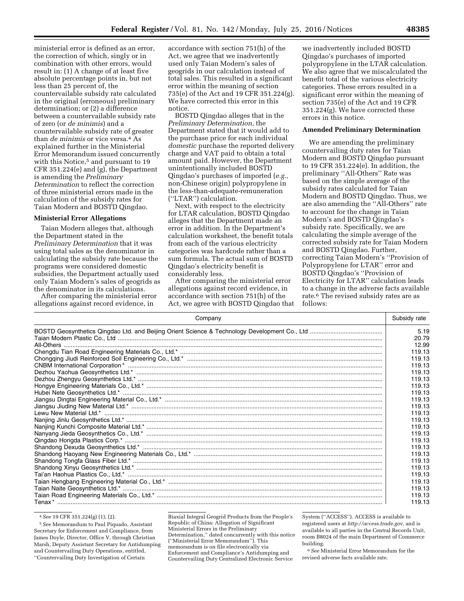ministerial error is defined as an error, the correction of which, singly or in combination with other errors, would result in: (1) A change of at least five absolute percentage points in, but not less than 25 percent of, the countervailable subsidy rate calculated in the original (erroneous) preliminary determination; or (2) a difference between a countervailable subsidy rate of zero (or *de minimis*) and a countervailable subsidy rate of greater than *de minimis* or vice versa.4 As explained further in the Ministerial Error Memorandum issued concurrently with this Notice,<sup>5</sup> and pursuant to 19 CFR 351.224(e) and (g), the Department is amending the *Preliminary Determination* to reflect the correction of three ministerial errors made in the calculation of the subsidy rates for Taian Modern and BOSTD Qingdao.

### **Ministerial Error Allegations**

Taian Modern alleges that, although the Department stated in the *Preliminary Determination* that it was using total sales as the denominator in calculating the subsidy rate because the programs were considered domestic subsidies, the Department actually used only Taian Modern's sales of geogrids as the denominator in its calculations.

After comparing the ministerial error allegations against record evidence, in

accordance with section 751(h) of the Act, we agree that we inadvertently used only Taian Modern's sales of geogrids in our calculation instead of total sales. This resulted in a significant error within the meaning of section 735(e) of the Act and 19 CFR 351.224(g). We have corrected this error in this notice.

BOSTD Qingdao alleges that in the *Preliminary Determination,* the Department stated that it would add to the purchase price for each individual *domestic* purchase the reported delivery charge and VAT paid to obtain a total amount paid. However, the Department unintentionally included BOSTD Qingdao's purchases of imported (*e.g.,*  non-Chinese origin) polypropylene in the less-than-adequate-remuneration (''LTAR'') calculation.

Next, with respect to the electricity for LTAR calculation, BOSTD Qingdao alleges that the Department made an error in addition. In the Department's calculation worksheet, the benefit totals from each of the various electricity categories was hardcode rather than a sum formula. The actual sum of BOSTD Qingdao's electricity benefit is considerably less.

After comparing the ministerial error allegations against record evidence, in accordance with section 751(h) of the Act, we agree with BOSTD Qingdao that

we inadvertently included BOSTD Qingdao's purchases of imported polypropylene in the LTAR calculation. We also agree that we miscalculated the benefit total of the various electricity categories. These errors resulted in a significant error within the meaning of section 735(e) of the Act and 19 CFR 351.224(g). We have corrected these errors in this notice.

## **Amended Preliminary Determination**

We are amending the preliminary countervailing duty rates for Taian Modern and BOSTD Qingdao pursuant to 19 CFR 351.224(e). In addition, the preliminary ''All-Others'' Rate was based on the simple average of the subsidy rates calculated for Taian Modern and BOSTD Qingdao. Thus, we are also amending the ''All-Others'' rate to account for the change in Taian Modern's and BOSTD Qingdao's subsidy rate. Specifically, we are calculating the simple average of the corrected subsidy rate for Taian Modern and BOSTD Qingdao. Further, correcting Taian Modern's ''Provision of Polypropylene for LTAR'' error and BOSTD Qingdao's ''Provision of Electricity for LTAR'' calculation leads to a change in the adverse facts available rate.6 The revised subsidy rates are as follows:

| Company | Subsidy rate |
|---------|--------------|
|         | 5.19         |
|         | 20.79        |
|         | 12.99        |
|         | 119.13       |
|         | 119.13       |
|         | 119.13       |
|         | 119.13       |
|         | 119.13       |
|         | 119.13       |
|         | 119.13       |
|         | 119.13       |
|         | 119.13       |
|         | 119.13       |
|         | 119.13       |
|         | 119.13       |
|         | 119.13       |
|         | 119.13       |
|         | 119.13       |
|         | 119.13       |
|         | 119.13       |
|         | 119.13       |
|         | 119.13       |
|         | 119.13       |
|         | 119.13       |
|         | 119.13       |
|         | 119.13       |

4*See* 19 CFR 351.224(g) (1), (2).

5*See* Memorandum to Paul Piquado, Assistant Secretary for Enforcement and Compliance, from James Doyle, Director, Office V, through Christian Marsh, Deputy Assistant Secretary for Antidumping and Countervailing Duty Operations, entitled, ''Countervailing Duty Investigation of Certain

Biaxial Integral Geogrid Products from the People's Republic of China: Allegation of Significant Ministerial Errors in the Preliminary Determination,'' dated concurrently with this notice (''Ministerial Error Memorandum''). This memorandum is on file electronically via Enforcement and Compliance's Antidumping and Countervailing Duty Centralized Electronic Service

System (''ACCESS''). ACCESS is available to registered users at *[http://access.trade.gov,](http://access.trade.gov)* and is available to all parties in the Central Records Unit, room B8024 of the main Department of Commerce building.

6*See* Ministerial Error Memorandum for the revised adverse facts available rate.